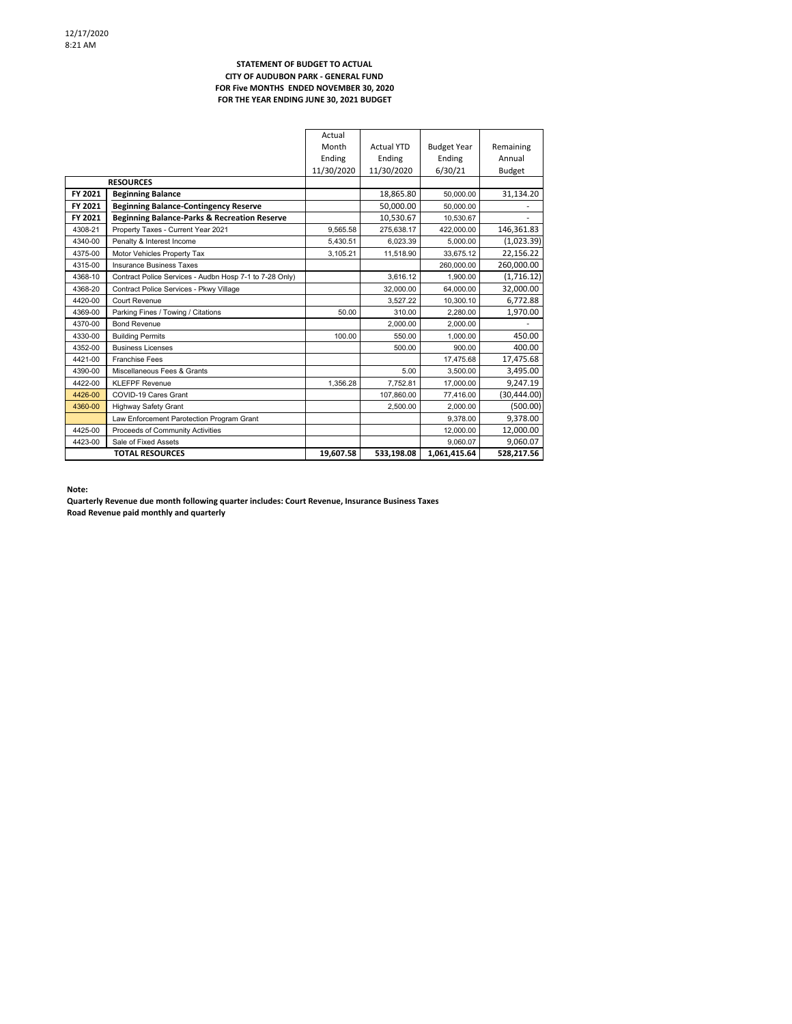#### **STATEMENT OF BUDGET TO ACTUAL CITY OF AUDUBON PARK ‐ GENERAL FUND FOR Five MONTHS ENDED NOVEMBER 30, 2020 FOR THE YEAR ENDING JUNE 30, 2021 BUDGET**

|                  |                                                         | Actual     |                   |                    |              |
|------------------|---------------------------------------------------------|------------|-------------------|--------------------|--------------|
|                  |                                                         | Month      | <b>Actual YTD</b> | <b>Budget Year</b> | Remaining    |
|                  |                                                         | Ending     | Ending            | Ending             | Annual       |
|                  |                                                         | 11/30/2020 | 11/30/2020        | 6/30/21            | Budget       |
| <b>RESOURCES</b> |                                                         |            |                   |                    |              |
| FY 2021          | <b>Beginning Balance</b>                                |            | 18,865.80         | 50.000.00          | 31,134.20    |
| FY 2021          | <b>Beginning Balance-Contingency Reserve</b>            |            | 50.000.00         | 50.000.00          |              |
| FY 2021          | <b>Beginning Balance-Parks &amp; Recreation Reserve</b> |            | 10,530.67         | 10.530.67          |              |
| 4308-21          | Property Taxes - Current Year 2021                      | 9.565.58   | 275,638.17        | 422.000.00         | 146,361.83   |
| 4340-00          | Penalty & Interest Income                               | 5.430.51   | 6.023.39          | 5.000.00           | (1,023.39)   |
| 4375-00          | Motor Vehicles Property Tax                             | 3.105.21   | 11,518.90         | 33.675.12          | 22,156.22    |
| 4315-00          | Insurance Business Taxes                                |            |                   | 260.000.00         | 260,000.00   |
| 4368-10          | Contract Police Services - Audbn Hosp 7-1 to 7-28 Only) |            | 3,616.12          | 1.900.00           | (1,716.12)   |
| 4368-20          | Contract Police Services - Pkwy Village                 |            | 32,000.00         | 64,000.00          | 32,000.00    |
| 4420-00          | Court Revenue                                           |            | 3.527.22          | 10.300.10          | 6,772.88     |
| 4369-00          | Parking Fines / Towing / Citations                      | 50.00      | 310.00            | 2.280.00           | 1,970.00     |
| 4370-00          | <b>Bond Revenue</b>                                     |            | 2,000.00          | 2.000.00           |              |
| 4330-00          | <b>Building Permits</b>                                 | 100.00     | 550.00            | 1.000.00           | 450.00       |
| 4352-00          | <b>Business Licenses</b>                                |            | 500.00            | 900.00             | 400.00       |
| 4421-00          | <b>Franchise Fees</b>                                   |            |                   | 17.475.68          | 17,475.68    |
| 4390-00          | Miscellaneous Fees & Grants                             |            | 5.00              | 3.500.00           | 3,495.00     |
| 4422-00          | <b>KLEFPF Revenue</b>                                   | 1,356.28   | 7,752.81          | 17.000.00          | 9,247.19     |
| 4426-00          | COVID-19 Cares Grant                                    |            | 107,860.00        | 77,416.00          | (30, 444.00) |
| 4360-00          | <b>Highway Safety Grant</b>                             |            | 2,500.00          | 2.000.00           | (500.00)     |
|                  | Law Enforcement Parotection Program Grant               |            |                   | 9.378.00           | 9.378.00     |
| 4425-00          | Proceeds of Community Activities                        |            |                   | 12,000.00          | 12,000.00    |
| 4423-00          | Sale of Fixed Assets                                    |            |                   | 9.060.07           | 9,060.07     |
|                  | <b>TOTAL RESOURCES</b>                                  | 19,607.58  | 533,198.08        | 1,061,415.64       | 528,217.56   |

**Note:**

**Quarterly Revenue due month following quarter includes: Court Revenue, Insurance Business Taxes Road Revenue paid monthly and quarterly**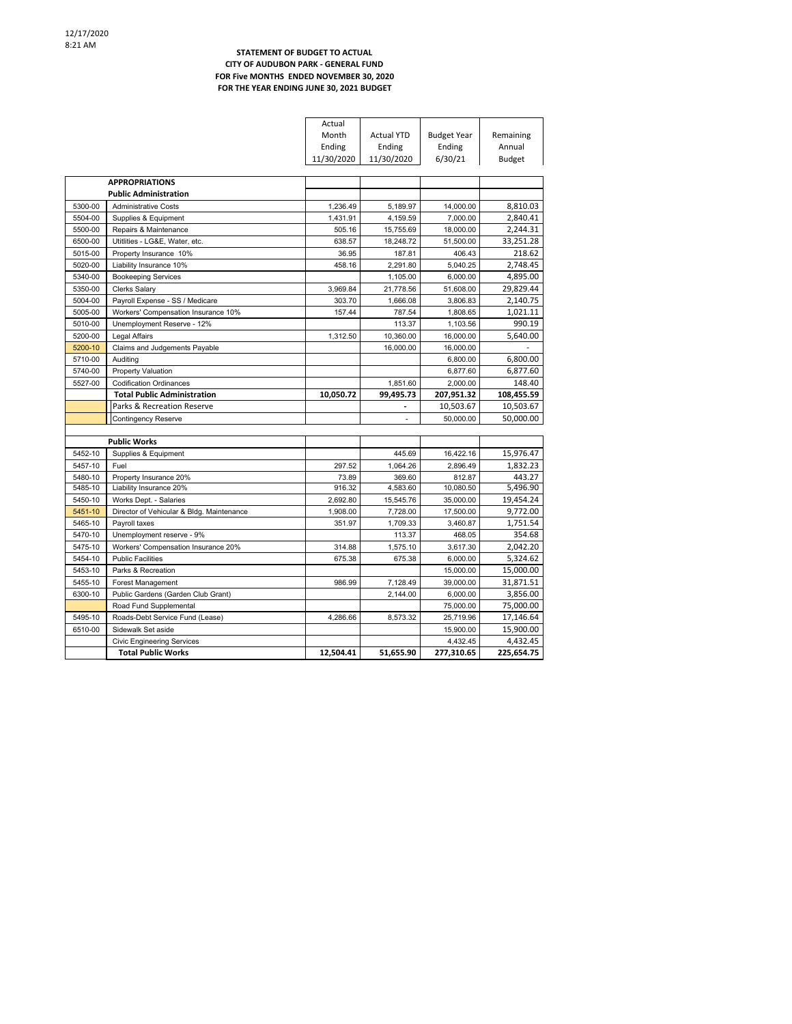### **STATEMENT OF BUDGET TO ACTUAL CITY OF AUDUBON PARK ‐ GENERAL FUND FOR Five MONTHS ENDED NOVEMBER 30, 2020 FOR THE YEAR ENDING JUNE 30, 2021 BUDGET**

|         |                                           | Actual     |                   |                        |                        |
|---------|-------------------------------------------|------------|-------------------|------------------------|------------------------|
|         |                                           | Month      | <b>Actual YTD</b> | <b>Budget Year</b>     | Remaining              |
|         |                                           | Ending     | Ending            | Ending                 | Annual                 |
|         |                                           | 11/30/2020 | 11/30/2020        | 6/30/21                | <b>Budget</b>          |
|         |                                           |            |                   |                        |                        |
|         | <b>APPROPRIATIONS</b>                     |            |                   |                        |                        |
|         | <b>Public Administration</b>              |            |                   |                        |                        |
| 5300-00 | <b>Administrative Costs</b>               | 1,236.49   | 5,189.97          | 14,000.00              | 8,810.03               |
| 5504-00 | Supplies & Equipment                      | 1,431.91   | 4,159.59          | 7,000.00               | 2,840.41               |
| 5500-00 | Repairs & Maintenance                     | 505.16     | 15,755.69         | 18,000.00              | 2,244.31               |
| 6500-00 | Utitlities - LG&E, Water, etc.            | 638.57     | 18,248.72         | 51,500.00              | 33,251.28              |
| 5015-00 | Property Insurance 10%                    | 36.95      | 187.81            | 406.43                 | 218.62                 |
| 5020-00 | Liability Insurance 10%                   | 458.16     | 2,291.80          | 5,040.25               | 2,748.45               |
| 5340-00 | <b>Bookeeping Services</b>                |            | 1,105.00          | 6,000.00               | 4,895.00               |
| 5350-00 | Clerks Salary                             | 3,969.84   | 21,778.56         | 51,608.00              | 29,829.44              |
| 5004-00 | Payroll Expense - SS / Medicare           | 303.70     | 1,666.08          | 3,806.83               | 2,140.75               |
| 5005-00 | Workers' Compensation Insurance 10%       | 157.44     | 787.54            | 1,808.65               | 1,021.11               |
| 5010-00 | Unemployment Reserve - 12%                |            | 113.37            | 1,103.56               | 990.19                 |
| 5200-00 | Legal Affairs                             | 1,312.50   | 10,360.00         | 16,000.00              | 5,640.00               |
| 5200-10 | Claims and Judgements Payable             |            | 16,000.00         | 16,000.00              |                        |
| 5710-00 | Auditing                                  |            |                   | 6,800.00               | 6,800.00               |
| 5740-00 | Property Valuation                        |            |                   | 6,877.60               | 6,877.60               |
| 5527-00 | <b>Codification Ordinances</b>            |            | 1,851.60          | 2,000.00               | 148.40                 |
|         |                                           |            |                   |                        |                        |
|         | <b>Total Public Administration</b>        | 10,050.72  | 99,495.73         | 207,951.32             | 108,455.59             |
|         | Parks & Recreation Reserve                |            |                   | 10,503.67              | 10,503.67              |
|         | <b>Contingency Reserve</b>                |            | ä,                | 50,000.00              | 50,000.00              |
|         |                                           |            |                   |                        |                        |
|         | <b>Public Works</b>                       |            |                   |                        |                        |
| 5452-10 | Supplies & Equipment                      |            | 445.69            | 16.422.16              | 15,976.47              |
| 5457-10 | Fuel                                      | 297.52     | 1,064.26          | 2,896.49               | 1,832.23               |
| 5480-10 | Property Insurance 20%                    | 73.89      | 369.60            | 812.87                 | 443.27                 |
| 5485-10 | Liability Insurance 20%                   | 916.32     | 4,583.60          | 10,080.50              | 5,496.90               |
| 5450-10 | Works Dept. - Salaries                    | 2,692.80   | 15,545.76         | 35,000.00              | 19,454.24              |
| 5451-10 | Director of Vehicular & Bldg. Maintenance | 1.908.00   | 7.728.00          | 17.500.00              | 9.772.00               |
| 5465-10 | Payroll taxes                             | 351.97     | 1,709.33          | 3,460.87               | 1,751.54               |
| 5470-10 | Unemployment reserve - 9%                 |            | 113.37            | 468.05                 | 354.68                 |
| 5475-10 | Workers' Compensation Insurance 20%       | 314.88     | 1,575.10          | 3,617.30               | 2,042.20               |
| 5454-10 | <b>Public Facilities</b>                  | 675.38     | 675.38            | 6.000.00               | 5,324.62               |
| 5453-10 | Parks & Recreation                        |            |                   | 15,000.00              | 15,000.00              |
| 5455-10 | Forest Management                         | 986.99     | 7,128.49          | 39,000.00              | 31,871.51              |
| 6300-10 | Public Gardens (Garden Club Grant)        |            | 2,144.00          | 6,000.00               | 3,856.00               |
|         | Road Fund Supplemental                    |            |                   | 75,000.00              | 75,000.00              |
| 5495-10 | Roads-Debt Service Fund (Lease)           | 4.286.66   | 8.573.32          | 25,719.96              | 17,146.64              |
| 6510-00 | Sidewalk Set aside                        |            |                   | 15,900.00              | 15,900.00              |
|         | <b>Civic Engineering Services</b>         |            |                   | 4,432.45<br>277,310.65 | 4,432.45<br>225,654.75 |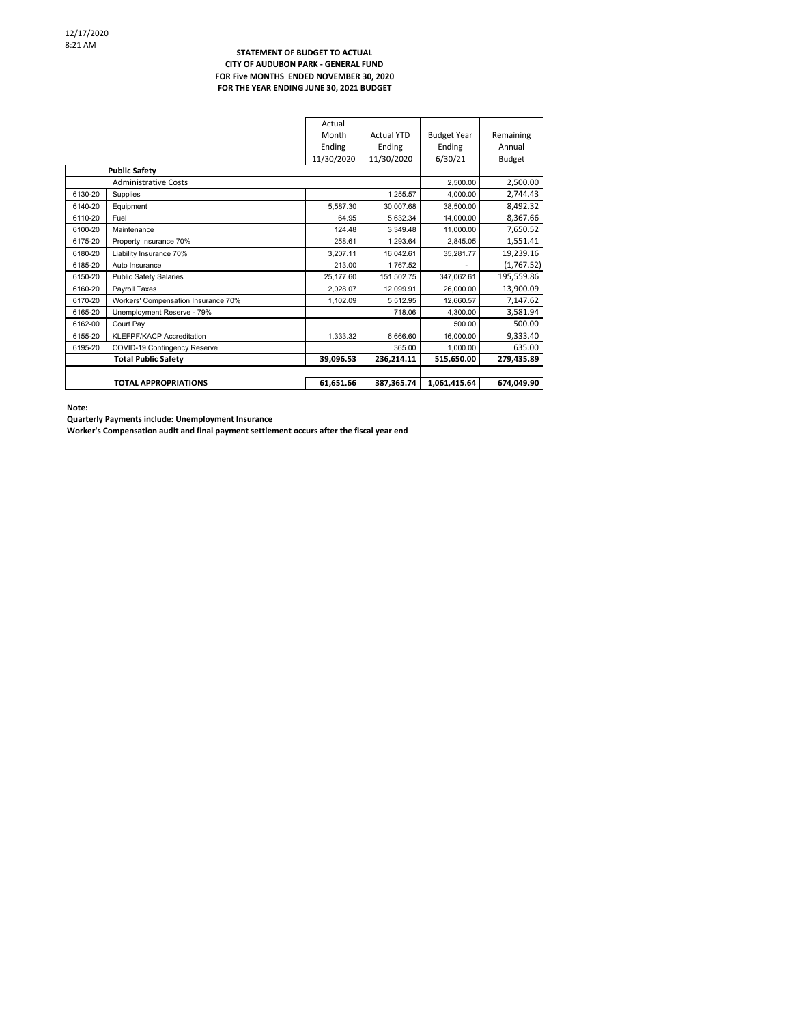#### **STATEMENT OF BUDGET TO ACTUAL CITY OF AUDUBON PARK ‐ GENERAL FUND FOR Five MONTHS ENDED NOVEMBER 30, 2020 FOR THE YEAR ENDING JUNE 30, 2021 BUDGET**

|                                     | Actual     |                   |                    |               |
|-------------------------------------|------------|-------------------|--------------------|---------------|
|                                     | Month      | <b>Actual YTD</b> | <b>Budget Year</b> | Remaining     |
|                                     | Ending     | Ending            | Ending             | Annual        |
|                                     | 11/30/2020 | 11/30/2020        | 6/30/21            | <b>Budget</b> |
| <b>Public Safety</b>                |            |                   |                    |               |
| <b>Administrative Costs</b>         |            |                   | 2,500.00           | 2,500.00      |
| Supplies                            |            | 1.255.57          | 4.000.00           | 2,744.43      |
| Equipment                           | 5,587.30   | 30,007.68         | 38,500.00          | 8,492.32      |
| Fuel                                | 64.95      | 5.632.34          | 14.000.00          | 8,367.66      |
| Maintenance                         | 124.48     | 3.349.48          | 11,000.00          | 7,650.52      |
| Property Insurance 70%              | 258.61     | 1,293.64          | 2,845.05           | 1,551.41      |
| Liability Insurance 70%             | 3.207.11   | 16.042.61         | 35,281.77          | 19,239.16     |
| Auto Insurance                      | 213.00     | 1.767.52          |                    | (1,767.52)    |
| <b>Public Safety Salaries</b>       | 25,177.60  | 151,502.75        | 347,062.61         | 195,559.86    |
| Payroll Taxes                       | 2,028.07   | 12,099.91         | 26,000.00          | 13,900.09     |
| Workers' Compensation Insurance 70% | 1,102.09   | 5,512.95          | 12,660.57          | 7,147.62      |
| Unemployment Reserve - 79%          |            | 718.06            | 4.300.00           | 3,581.94      |
| Court Pay                           |            |                   | 500.00             | 500.00        |
| KLEFPF/KACP Accreditation           | 1.333.32   | 6.666.60          | 16,000.00          | 9,333.40      |
| COVID-19 Contingency Reserve        |            | 365.00            | 1.000.00           | 635.00        |
| <b>Total Public Safety</b>          | 39,096.53  | 236,214.11        | 515,650.00         | 279,435.89    |
|                                     |            |                   |                    |               |
| <b>TOTAL APPROPRIATIONS</b>         | 61,651.66  | 387,365.74        | 1,061,415.64       | 674,049.90    |
|                                     |            |                   |                    |               |

**Note:**

**Quarterly Payments include: Unemployment Insurance**

**Worker's Compensation audit and final payment settlement occurs after the fiscal year end**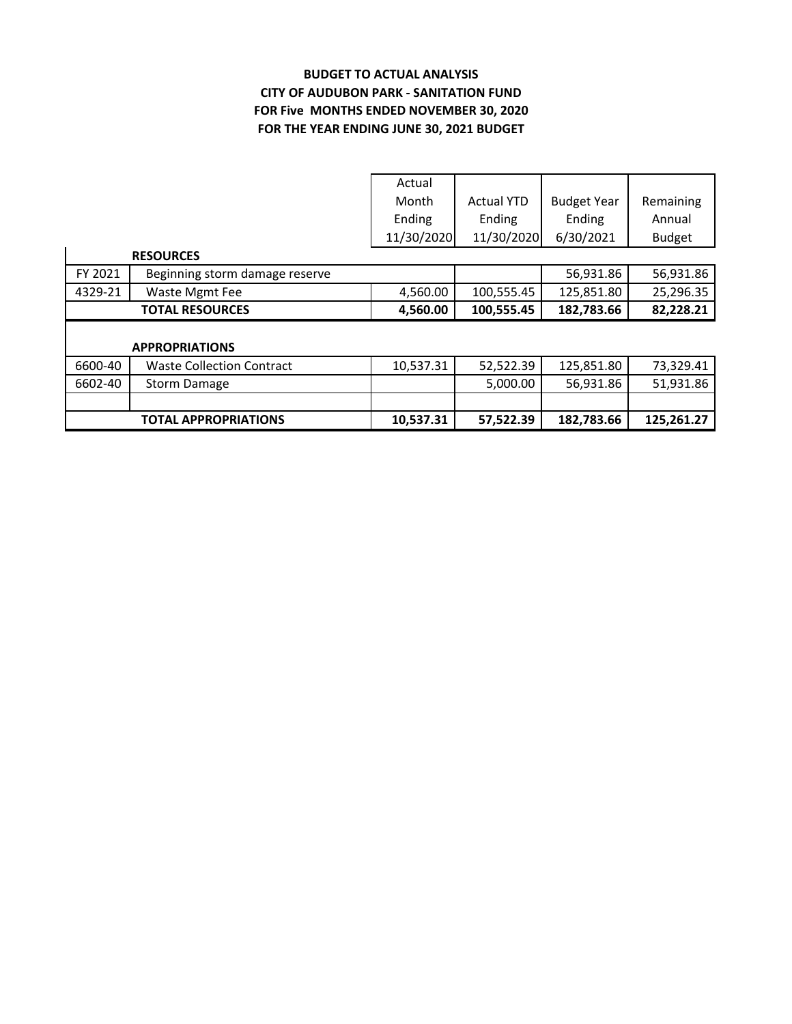# **BUDGET TO ACTUAL ANALYSIS CITY OF AUDUBON PARK ‐ SANITATION FUND FOR THE YEAR ENDING JUNE 30, 2021 BUDGET FOR Five MONTHS ENDED NOVEMBER 30, 2020**

|                  |                                  | Actual     |                   |                    |               |  |  |
|------------------|----------------------------------|------------|-------------------|--------------------|---------------|--|--|
|                  |                                  | Month      | <b>Actual YTD</b> | <b>Budget Year</b> | Remaining     |  |  |
|                  |                                  | Ending     | Ending            | Ending             | Annual        |  |  |
|                  |                                  | 11/30/2020 | 11/30/2020        | 6/30/2021          | <b>Budget</b> |  |  |
| <b>RESOURCES</b> |                                  |            |                   |                    |               |  |  |
| FY 2021          | Beginning storm damage reserve   |            |                   | 56,931.86          | 56,931.86     |  |  |
| 4329-21          | Waste Mgmt Fee                   | 4,560.00   | 100,555.45        | 125,851.80         | 25,296.35     |  |  |
|                  |                                  |            |                   |                    |               |  |  |
|                  | <b>TOTAL RESOURCES</b>           | 4,560.00   | 100,555.45        | 182,783.66         | 82,228.21     |  |  |
|                  |                                  |            |                   |                    |               |  |  |
|                  | <b>APPROPRIATIONS</b>            |            |                   |                    |               |  |  |
| 6600-40          | <b>Waste Collection Contract</b> | 10,537.31  | 52,522.39         | 125,851.80         | 73,329.41     |  |  |
| 6602-40          | Storm Damage                     |            | 5,000.00          | 56,931.86          | 51,931.86     |  |  |
|                  |                                  |            |                   |                    |               |  |  |